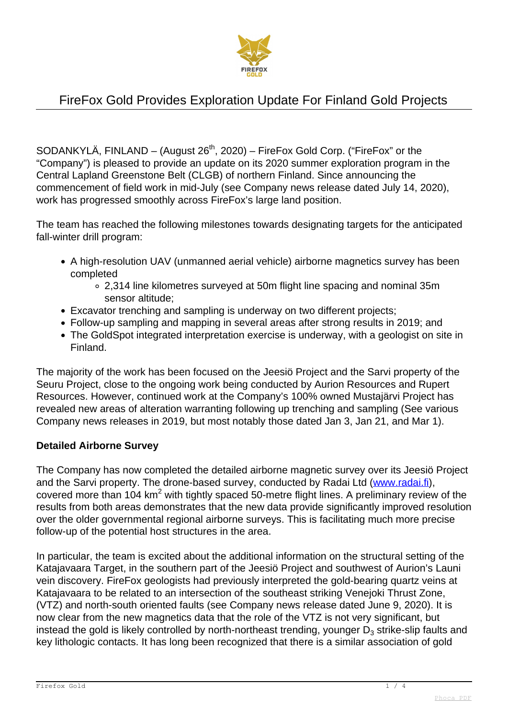

SODANKYLÄ, FINLAND – (August  $26<sup>th</sup>$ , 2020) – FireFox Gold Corp. ("FireFox" or the "Company") is pleased to provide an update on its 2020 summer exploration program in the Central Lapland Greenstone Belt (CLGB) of northern Finland. Since announcing the commencement of field work in mid-July (see Company news release dated July 14, 2020), work has progressed smoothly across FireFox's large land position.

The team has reached the following milestones towards designating targets for the anticipated fall-winter drill program:

- A high-resolution UAV (unmanned aerial vehicle) airborne magnetics survey has been completed
	- 2,314 line kilometres surveyed at 50m flight line spacing and nominal 35m sensor altitude;
- Excavator trenching and sampling is underway on two different projects;
- Follow-up sampling and mapping in several areas after strong results in 2019; and
- The GoldSpot integrated interpretation exercise is underway, with a geologist on site in Finland.

The majority of the work has been focused on the Jeesiö Project and the Sarvi property of the Seuru Project, close to the ongoing work being conducted by Aurion Resources and Rupert Resources. However, continued work at the Company's 100% owned Mustajärvi Project has revealed new areas of alteration warranting following up trenching and sampling (See various Company news releases in 2019, but most notably those dated Jan 3, Jan 21, and Mar 1).

### **Detailed Airborne Survey**

The Company has now completed the detailed airborne magnetic survey over its Jeesiö Project and the Sarvi property. The drone-based survey, conducted by Radai Ltd [\(www.radai.fi\)](http://www.radai.fi/), covered more than 104 km<sup>2</sup> with tightly spaced 50-metre flight lines. A preliminary review of the results from both areas demonstrates that the new data provide significantly improved resolution over the older governmental regional airborne surveys. This is facilitating much more precise follow-up of the potential host structures in the area.

In particular, the team is excited about the additional information on the structural setting of the Katajavaara Target, in the southern part of the Jeesiö Project and southwest of Aurion's Launi vein discovery. FireFox geologists had previously interpreted the gold-bearing quartz veins at Katajavaara to be related to an intersection of the southeast striking Venejoki Thrust Zone, (VTZ) and north-south oriented faults (see Company news release dated June 9, 2020). It is now clear from the new magnetics data that the role of the VTZ is not very significant, but instead the gold is likely controlled by north-northeast trending, younger  $\mathsf{D}_3$  strike-slip faults and key lithologic contacts. It has long been recognized that there is a similar association of gold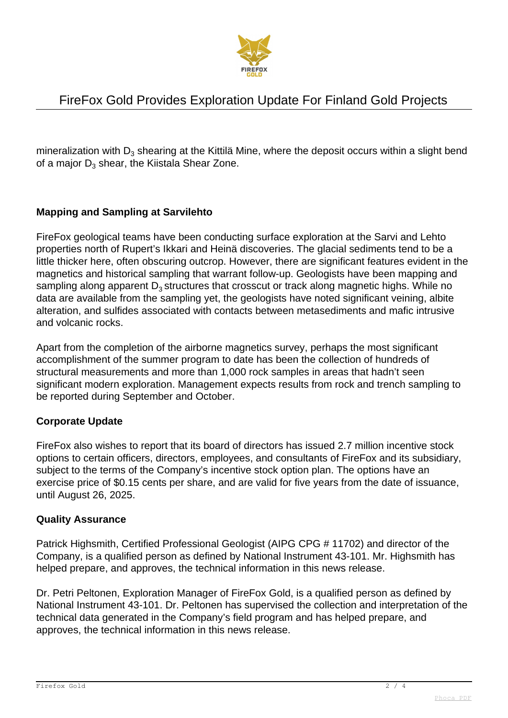

mineralization with D $_3$  shearing at the Kittilä Mine, where the deposit occurs within a slight bend of a major  $\mathsf{D}_3$  shear, the Kiistala Shear Zone.

### **Mapping and Sampling at Sarvilehto**

FireFox geological teams have been conducting surface exploration at the Sarvi and Lehto properties north of Rupert's Ikkari and Heinä discoveries. The glacial sediments tend to be a little thicker here, often obscuring outcrop. However, there are significant features evident in the magnetics and historical sampling that warrant follow-up. Geologists have been mapping and sampling along apparent  $D_3$  structures that crosscut or track along magnetic highs. While no data are available from the sampling yet, the geologists have noted significant veining, albite alteration, and sulfides associated with contacts between metasediments and mafic intrusive and volcanic rocks.

Apart from the completion of the airborne magnetics survey, perhaps the most significant accomplishment of the summer program to date has been the collection of hundreds of structural measurements and more than 1,000 rock samples in areas that hadn't seen significant modern exploration. Management expects results from rock and trench sampling to be reported during September and October.

#### **Corporate Update**

FireFox also wishes to report that its board of directors has issued 2.7 million incentive stock options to certain officers, directors, employees, and consultants of FireFox and its subsidiary, subject to the terms of the Company's incentive stock option plan. The options have an exercise price of \$0.15 cents per share, and are valid for five years from the date of issuance, until August 26, 2025.

#### **Quality Assurance**

Patrick Highsmith, Certified Professional Geologist (AIPG CPG # 11702) and director of the Company, is a qualified person as defined by National Instrument 43-101. Mr. Highsmith has helped prepare, and approves, the technical information in this news release.

Dr. Petri Peltonen, Exploration Manager of FireFox Gold, is a qualified person as defined by National Instrument 43-101. Dr. Peltonen has supervised the collection and interpretation of the technical data generated in the Company's field program and has helped prepare, and approves, the technical information in this news release.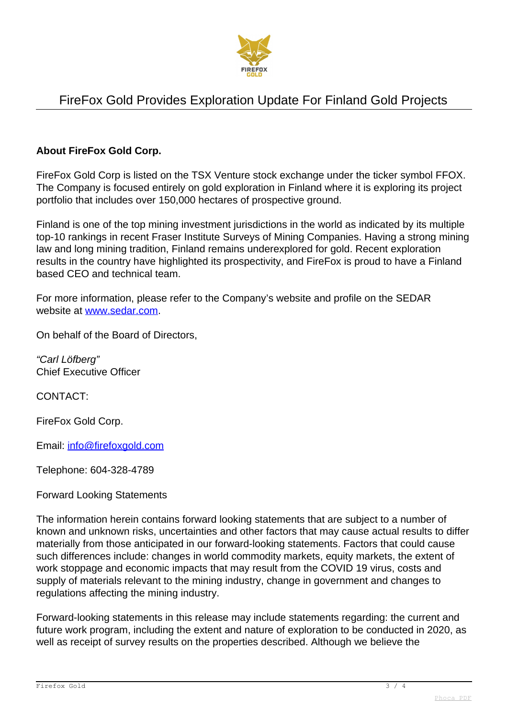

### **About FireFox Gold Corp.**

FireFox Gold Corp is listed on the TSX Venture stock exchange under the ticker symbol FFOX. The Company is focused entirely on gold exploration in Finland where it is exploring its project portfolio that includes over 150,000 hectares of prospective ground.

Finland is one of the top mining investment jurisdictions in the world as indicated by its multiple top-10 rankings in recent Fraser Institute Surveys of Mining Companies. Having a strong mining law and long mining tradition, Finland remains underexplored for gold. Recent exploration results in the country have highlighted its prospectivity, and FireFox is proud to have a Finland based CEO and technical team.

For more information, please refer to the Company's website and profile on the SEDAR website at [www.sedar.com](http://www.sedar.com).

On behalf of the Board of Directors,

"Carl Löfberg" Chief Executive Officer

CONTACT:

FireFox Gold Corp.

Email: [info@firefoxgold.com](mailto:info@firefoxgold.com)

Telephone: 604-328-4789

#### Forward Looking Statements

The information herein contains forward looking statements that are subject to a number of known and unknown risks, uncertainties and other factors that may cause actual results to differ materially from those anticipated in our forward-looking statements. Factors that could cause such differences include: changes in world commodity markets, equity markets, the extent of work stoppage and economic impacts that may result from the COVID 19 virus, costs and supply of materials relevant to the mining industry, change in government and changes to regulations affecting the mining industry.

Forward-looking statements in this release may include statements regarding: the current and future work program, including the extent and nature of exploration to be conducted in 2020, as well as receipt of survey results on the properties described. Although we believe the